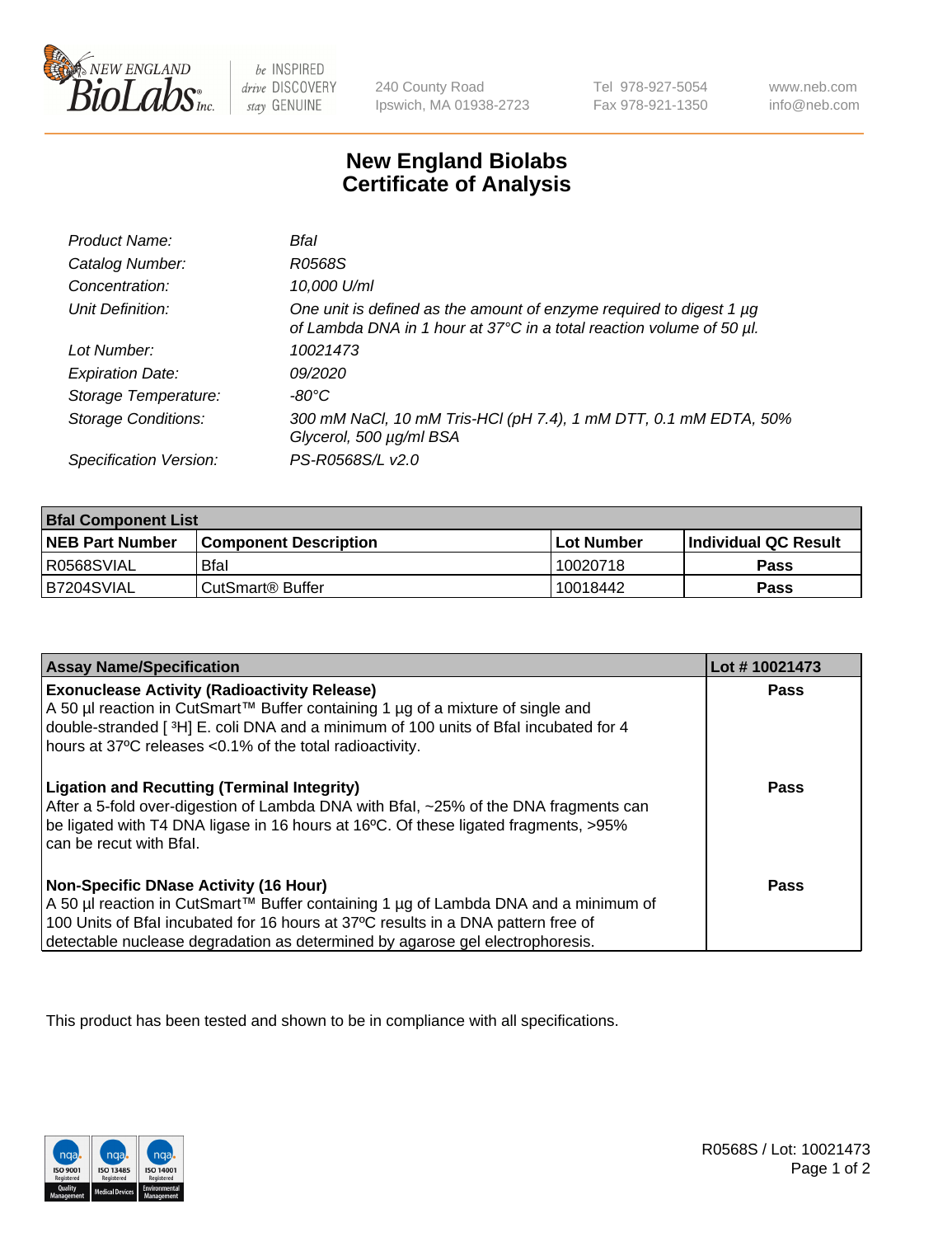

 $be$  INSPIRED drive DISCOVERY stay GENUINE

240 County Road Ipswich, MA 01938-2723 Tel 978-927-5054 Fax 978-921-1350 www.neb.com info@neb.com

## **New England Biolabs Certificate of Analysis**

| Product Name:              | Bfal                                                                                                                                             |
|----------------------------|--------------------------------------------------------------------------------------------------------------------------------------------------|
| Catalog Number:            | R0568S                                                                                                                                           |
| Concentration:             | 10,000 U/ml                                                                                                                                      |
| Unit Definition:           | One unit is defined as the amount of enzyme required to digest 1 $\mu$ g<br>of Lambda DNA in 1 hour at 37°C in a total reaction volume of 50 µl. |
| Lot Number:                | 10021473                                                                                                                                         |
| <b>Expiration Date:</b>    | 09/2020                                                                                                                                          |
| Storage Temperature:       | -80°C                                                                                                                                            |
| <b>Storage Conditions:</b> | 300 mM NaCl, 10 mM Tris-HCl (pH 7.4), 1 mM DTT, 0.1 mM EDTA, 50%<br>Glycerol, 500 µg/ml BSA                                                      |
| Specification Version:     | PS-R0568S/L v2.0                                                                                                                                 |

| <b>Bfal Component List</b> |                              |              |                             |  |
|----------------------------|------------------------------|--------------|-----------------------------|--|
| <b>NEB Part Number</b>     | <b>Component Description</b> | l Lot Number | <b>Individual QC Result</b> |  |
| I R0568SVIAL               | <b>Bfal</b>                  | 10020718     | Pass                        |  |
| B7204SVIAL                 | l CutSmart® Buffer           | 10018442     | Pass                        |  |

| <b>Assay Name/Specification</b>                                                                                                                                                                                                                                                                           | Lot #10021473 |
|-----------------------------------------------------------------------------------------------------------------------------------------------------------------------------------------------------------------------------------------------------------------------------------------------------------|---------------|
| <b>Exonuclease Activity (Radioactivity Release)</b><br>A 50 µl reaction in CutSmart™ Buffer containing 1 µg of a mixture of single and<br>double-stranded [3H] E. coli DNA and a minimum of 100 units of Bfal incubated for 4<br>hours at 37°C releases <0.1% of the total radioactivity.                 | Pass          |
| <b>Ligation and Recutting (Terminal Integrity)</b><br>After a 5-fold over-digestion of Lambda DNA with Bfal, ~25% of the DNA fragments can<br>be ligated with T4 DNA ligase in 16 hours at 16°C. Of these ligated fragments, >95%<br>can be recut with Bfal.                                              | Pass          |
| <b>Non-Specific DNase Activity (16 Hour)</b><br>A 50 µl reaction in CutSmart™ Buffer containing 1 µg of Lambda DNA and a minimum of<br>100 Units of Bfal incubated for 16 hours at 37°C results in a DNA pattern free of<br>detectable nuclease degradation as determined by agarose gel electrophoresis. | Pass          |

This product has been tested and shown to be in compliance with all specifications.